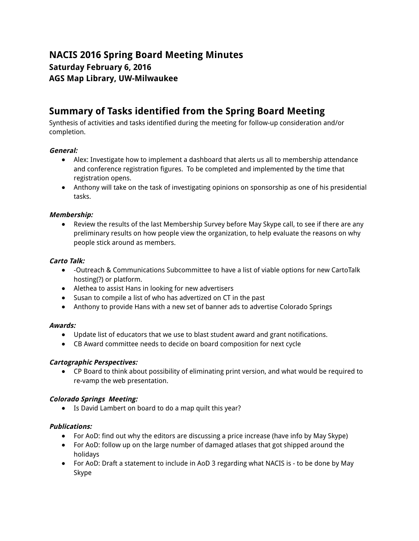# **NACIS 2016 Spring Board Meeting Minutes Saturday February 6, 2016 AGS Map Library, UW-Milwaukee**

# **Summary of Tasks identified from the Spring Board Meeting**

Synthesis of activities and tasks identified during the meeting for follow-up consideration and/or completion.

# **General:**

- Alex: Investigate how to implement a dashboard that alerts us all to membership attendance and conference registration figures. To be completed and implemented by the time that registration opens.
- Anthony will take on the task of investigating opinions on sponsorship as one of his presidential tasks.

# **Membership:**

● Review the results of the last Membership Survey before May Skype call, to see if there are any preliminary results on how people view the organization, to help evaluate the reasons on why people stick around as members.

# **Carto Talk:**

- -Outreach & Communications Subcommittee to have a list of viable options for new CartoTalk hosting(?) or platform.
- Alethea to assist Hans in looking for new advertisers
- Susan to compile a list of who has advertized on CT in the past
- Anthony to provide Hans with a new set of banner ads to advertise Colorado Springs

# **Awards:**

- Update list of educators that we use to blast student award and grant notifications.
- CB Award committee needs to decide on board composition for next cycle

# **Cartographic Perspectives:**

● CP Board to think about possibility of eliminating print version, and what would be required to re-vamp the web presentation.

# **Colorado Springs Meeting:**

● Is David Lambert on board to do a map quilt this year?

# **Publications:**

- For AoD: find out why the editors are discussing a price increase (have info by May Skype)
- For AoD: follow up on the large number of damaged atlases that got shipped around the holidays
- For AoD: Draft a statement to include in AoD 3 regarding what NACIS is to be done by May Skype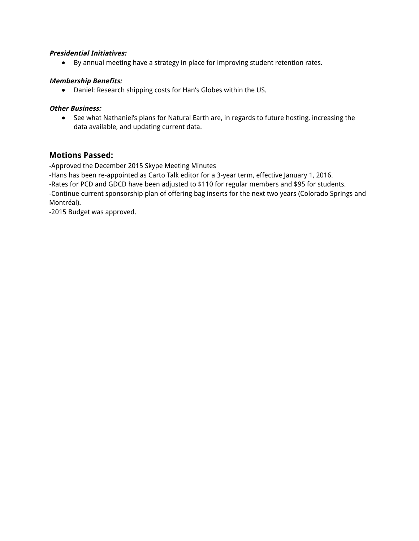### **Presidential Initiatives:**

● By annual meeting have a strategy in place for improving student retention rates.

### **Membership Benefits:**

● Daniel: Research shipping costs for Han's Globes within the US.

### **Other Business:**

● See what Nathaniel's plans for Natural Earth are, in regards to future hosting, increasing the data available, and updating current data.

# **Motions Passed:**

-Approved the December 2015 Skype Meeting Minutes

-Hans has been re-appointed as Carto Talk editor for a 3-year term, effective January 1, 2016.

-Rates for PCD and GDCD have been adjusted to \$110 for regular members and \$95 for students.

-Continue current sponsorship plan of offering bag inserts for the next two years (Colorado Springs and Montréal).

-2015 Budget was approved.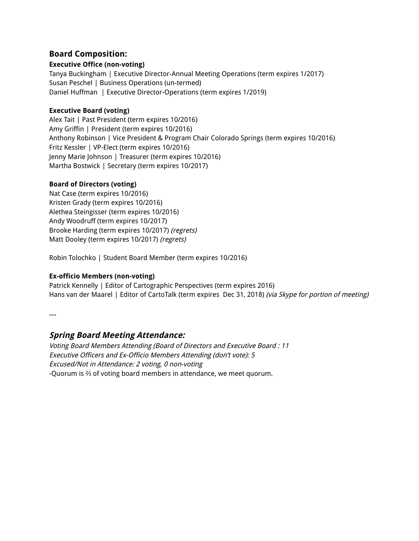# **Board Composition:**

# **Executive Office (non-voting)**

Tanya Buckingham | Executive Director-Annual Meeting Operations (term expires 1/2017) Susan Peschel | Business Operations (un-termed) Daniel Huffman | Executive Director-Operations (term expires 1/2019)

### **Executive Board (voting)**

Alex Tait | Past President (term expires 10/2016) Amy Griffin | President (term expires 10/2016) Anthony Robinson | Vice President & Program Chair Colorado Springs (term expires 10/2016) Fritz Kessler | VP-Elect (term expires 10/2016) Jenny Marie Johnson | Treasurer (term expires 10/2016) Martha Bostwick | Secretary (term expires 10/2017)

# **Board of Directors (voting)**

Nat Case (term expires 10/2016) Kristen Grady (term expires 10/2016) Alethea Steingisser (term expires 10/2016) Andy Woodruff (term expires 10/2017) Brooke Harding (term expires 10/2017) (regrets) Matt Dooley (term expires 10/2017) (regrets)

Robin Tolochko | Student Board Member (term expires 10/2016)

# **Ex-officio Members (non-voting)**

Patrick Kennelly | Editor of Cartographic Perspectives (term expires 2016) Hans van der Maarel | Editor of CartoTalk (term expires Dec 31, 2018) (via Skype for portion of meeting)

---

# **Spring Board Meeting Attendance:**

Voting Board Members Attending (Board of Directors and Executive Board : 11 Executive Officers and Ex-Officio Members Attending (don't vote): 5 Excused/Not in Attendance: 2 voting, 0 non-voting -Quorum is ⅔ of voting board members in attendance, we meet quorum.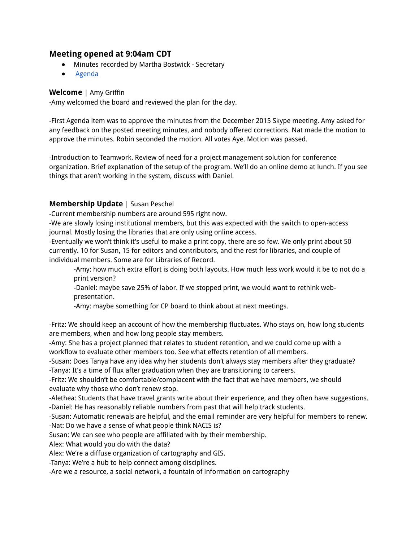# **Meeting opened at 9:04am CDT**

- Minutes recorded by Martha Bostwick Secretary
- **Agenda**

# **Welcome** | Amy Griffin

-Amy welcomed the board and reviewed the plan for the day.

-First Agenda item was to approve the minutes from the December 2015 Skype meeting. Amy asked for any feedback on the posted meeting minutes, and nobody offered corrections. Nat made the motion to approve the minutes. Robin seconded the motion. All votes Aye. Motion was passed.

-Introduction to Teamwork. Review of need for a project management solution for conference organization. Brief explanation of the setup of the program. We'll do an online demo at lunch. If you see things that aren't working in the system, discuss with Daniel.

# **Membership Update** | Susan Peschel

-Current membership numbers are around 595 right now.

-We are slowly losing institutional members, but this was expected with the switch to open-access journal. Mostly losing the libraries that are only using online access.

-Eventually we won't think it's useful to make a print copy, there are so few. We only print about 50 currently. 10 for Susan, 15 for editors and contributors, and the rest for libraries, and couple of individual members. Some are for Libraries of Record.

-Amy: how much extra effort is doing both layouts. How much less work would it be to not do a print version?

-Daniel: maybe save 25% of labor. If we stopped print, we would want to rethink webpresentation.

-Amy: maybe something for CP board to think about at next meetings.

-Fritz: We should keep an account of how the membership fluctuates. Who stays on, how long students are members, when and how long people stay members.

-Amy: She has a project planned that relates to student retention, and we could come up with a workflow to evaluate other members too. See what effects retention of all members.

-Susan: Does Tanya have any idea why her students don't always stay members after they graduate? -Tanya: It's a time of flux after graduation when they are transitioning to careers.

-Fritz: We shouldn't be comfortable/complacent with the fact that we have members, we should evaluate why those who don't renew stop.

-Alethea: Students that have travel grants write about their experience, and they often have suggestions. -Daniel: He has reasonably reliable numbers from past that will help track students.

-Susan: Automatic renewals are helpful, and the email reminder are very helpful for members to renew. -Nat: Do we have a sense of what people think NACIS is?

Susan: We can see who people are affiliated with by their membership.

Alex: What would you do with the data?

Alex: We're a diffuse organization of cartography and GIS.

-Tanya: We're a hub to help connect among disciplines.

-Are we a resource, a social network, a fountain of information on cartography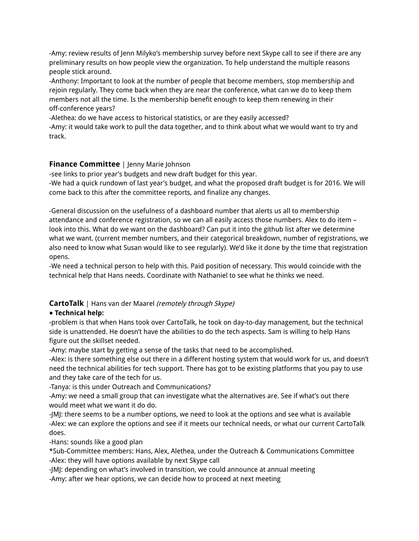-Amy: review results of Jenn Milyko's membership survey before next Skype call to see if there are any preliminary results on how people view the organization. To help understand the multiple reasons people stick around.

-Anthony: Important to look at the number of people that become members, stop membership and rejoin regularly. They come back when they are near the conference, what can we do to keep them members not all the time. Is the membership benefit enough to keep them renewing in their off-conference years?

-Alethea: do we have access to historical statistics, or are they easily accessed?

-Amy: it would take work to pull the data together, and to think about what we would want to try and track.

# **Finance Committee** | Jenny Marie Johnson

-see links to prior year's budgets and new draft budget for this year.

-We had a quick rundown of last year's budget, and what the proposed draft budget is for 2016. We will come back to this after the committee reports, and finalize any changes.

-General discussion on the usefulness of a dashboard number that alerts us all to membership attendance and conference registration, so we can all easily access those numbers. Alex to do item – look into this. What do we want on the dashboard? Can put it into the github list after we determine what we want. (current member numbers, and their categorical breakdown, number of registrations, we also need to know what Susan would like to see regularly). We'd like it done by the time that registration opens.

-We need a technical person to help with this. Paid position of necessary. This would coincide with the technical help that Hans needs. Coordinate with Nathaniel to see what he thinks we need.

# **CartoTalk** | Hans van der Maarel (remotely through Skype)

# ● **Technical help:**

-problem is that when Hans took over CartoTalk, he took on day-to-day management, but the technical side is unattended. He doesn't have the abilities to do the tech aspects. Sam is willing to help Hans figure out the skillset needed.

-Amy: maybe start by getting a sense of the tasks that need to be accomplished.

-Alex: is there something else out there in a different hosting system that would work for us, and doesn't need the technical abilities for tech support. There has got to be existing platforms that you pay to use and they take care of the tech for us.

-Tanya: is this under Outreach and Communications?

-Amy: we need a small group that can investigate what the alternatives are. See if what's out there would meet what we want it do do.

-JMJ: there seems to be a number options, we need to look at the options and see what is available -Alex: we can explore the options and see if it meets our technical needs, or what our current CartoTalk does.

-Hans: sounds like a good plan

\*Sub-Committee members: Hans, Alex, Alethea, under the Outreach & Communications Committee -Alex: they will have options available by next Skype call

-JMJ: depending on what's involved in transition, we could announce at annual meeting -Amy: after we hear options, we can decide how to proceed at next meeting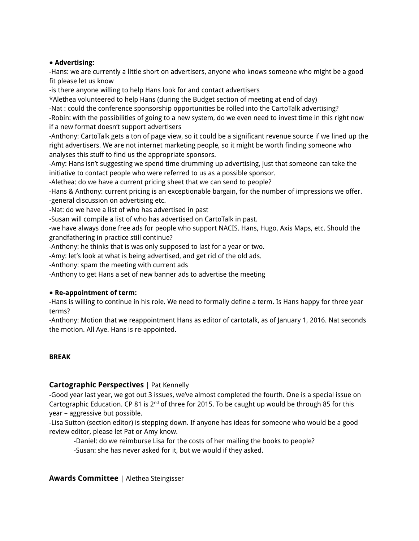### ● **Advertising:**

-Hans: we are currently a little short on advertisers, anyone who knows someone who might be a good fit please let us know

-is there anyone willing to help Hans look for and contact advertisers

\*Alethea volunteered to help Hans (during the Budget section of meeting at end of day)

-Nat : could the conference sponsorship opportunities be rolled into the CartoTalk advertising?

-Robin: with the possibilities of going to a new system, do we even need to invest time in this right now if a new format doesn't support advertisers

-Anthony: CartoTalk gets a ton of page view, so it could be a significant revenue source if we lined up the right advertisers. We are not internet marketing people, so it might be worth finding someone who analyses this stuff to find us the appropriate sponsors.

-Amy: Hans isn't suggesting we spend time drumming up advertising, just that someone can take the initiative to contact people who were referred to us as a possible sponsor.

-Alethea: do we have a current pricing sheet that we can send to people?

-Hans & Anthony: current pricing is an exceptionable bargain, for the number of impressions we offer. -general discussion on advertising etc.

-Nat: do we have a list of who has advertised in past

-Susan will compile a list of who has advertised on CartoTalk in past.

-we have always done free ads for people who support NACIS. Hans, Hugo, Axis Maps, etc. Should the grandfathering in practice still continue?

-Anthony: he thinks that is was only supposed to last for a year or two.

-Amy: let's look at what is being advertised, and get rid of the old ads.

-Anthony: spam the meeting with current ads

-Anthony to get Hans a set of new banner ads to advertise the meeting

#### ● **Re-appointment of term:**

-Hans is willing to continue in his role. We need to formally define a term. Is Hans happy for three year terms?

-Anthony: Motion that we reappointment Hans as editor of cartotalk, as of January 1, 2016. Nat seconds the motion. All Aye. Hans is re-appointed.

#### **BREAK**

# **Cartographic Perspectives** | Pat Kennelly

-Good year last year, we got out 3 issues, we've almost completed the fourth. One is a special issue on Cartographic Education. CP 81 is  $2<sup>nd</sup>$  of three for 2015. To be caught up would be through 85 for this year – aggressive but possible.

-Lisa Sutton (section editor) is stepping down. If anyone has ideas for someone who would be a good review editor, please let Pat or Amy know.

-Daniel: do we reimburse Lisa for the costs of her mailing the books to people? -Susan: she has never asked for it, but we would if they asked.

#### **Awards Committee** | Alethea Steingisser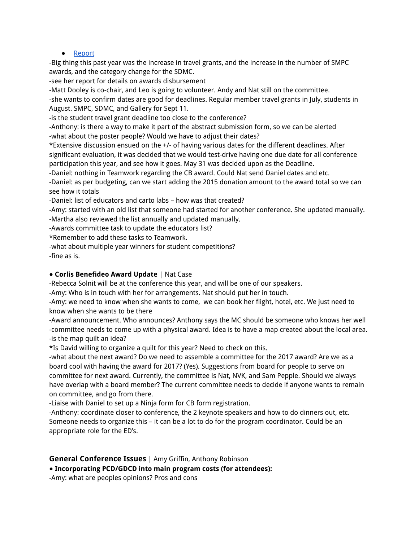#### ● Report

-Big thing this past year was the increase in travel grants, and the increase in the number of SMPC awards, and the category change for the SDMC.

-see her report for details on awards disbursement

-Matt Dooley is co-chair, and Leo is going to volunteer. Andy and Nat still on the committee.

-she wants to confirm dates are good for deadlines. Regular member travel grants in July, students in August. SMPC, SDMC, and Gallery for Sept 11.

-is the student travel grant deadline too close to the conference?

-Anthony: is there a way to make it part of the abstract submission form, so we can be alerted -what about the poster people? Would we have to adjust their dates?

\*Extensive discussion ensued on the +/- of having various dates for the different deadlines. After significant evaluation, it was decided that we would test-drive having one due date for all conference participation this year, and see how it goes. May 31 was decided upon as the Deadline.

-Daniel: nothing in Teamwork regarding the CB award. Could Nat send Daniel dates and etc.

-Daniel: as per budgeting, can we start adding the 2015 donation amount to the award total so we can see how it totals

-Daniel: list of educators and carto labs – how was that created?

-Amy: started with an old list that someone had started for another conference. She updated manually. -Martha also reviewed the list annually and updated manually.

-Awards committee task to update the educators list?

\*Remember to add these tasks to Teamwork.

-what about multiple year winners for student competitions?

-fine as is.

#### ● **Corlis Benefideo Award Update** | Nat Case

-Rebecca Solnit will be at the conference this year, and will be one of our speakers.

-Amy: Who is in touch with her for arrangements. Nat should put her in touch.

-Amy: we need to know when she wants to come, we can book her flight, hotel, etc. We just need to know when she wants to be there

-Award announcement. Who announces? Anthony says the MC should be someone who knows her well -committee needs to come up with a physical award. Idea is to have a map created about the local area. -is the map quilt an idea?

\*Is David willing to organize a quilt for this year? Need to check on this.

-what about the next award? Do we need to assemble a committee for the 2017 award? Are we as a board cool with having the award for 2017? (Yes). Suggestions from board for people to serve on committee for next award. Currently, the committee is Nat, NVK, and Sam Pepple. Should we always have overlap with a board member? The current committee needs to decide if anyone wants to remain on committee, and go from there.

-Liaise with Daniel to set up a Ninja form for CB form registration.

-Anthony: coordinate closer to conference, the 2 keynote speakers and how to do dinners out, etc. Someone needs to organize this – it can be a lot to do for the program coordinator. Could be an appropriate role for the ED's.

**General Conference Issues** | Amy Griffin, Anthony Robinson

● **Incorporating PCD/GDCD into main program costs (for attendees):**

-Amy: what are peoples opinions? Pros and cons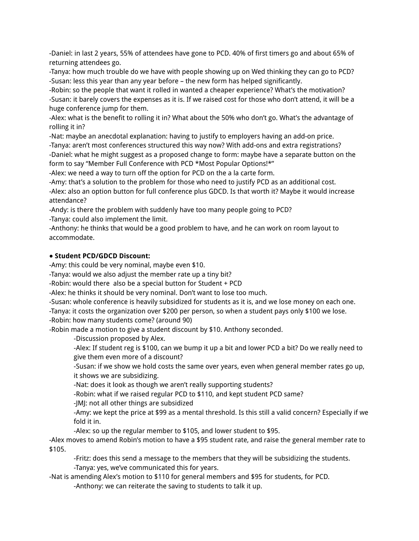-Daniel: in last 2 years, 55% of attendees have gone to PCD. 40% of first timers go and about 65% of returning attendees go.

-Tanya: how much trouble do we have with people showing up on Wed thinking they can go to PCD? -Susan: less this year than any year before – the new form has helped significantly.

-Robin: so the people that want it rolled in wanted a cheaper experience? What's the motivation? -Susan: it barely covers the expenses as it is. If we raised cost for those who don't attend, it will be a huge conference jump for them.

-Alex: what is the benefit to rolling it in? What about the 50% who don't go. What's the advantage of rolling it in?

-Nat: maybe an anecdotal explanation: having to justify to employers having an add-on price.

-Tanya: aren't most conferences structured this way now? With add-ons and extra registrations?

-Daniel: what he might suggest as a proposed change to form: maybe have a separate button on the form to say "Member Full Conference with PCD \*Most Popular Options!\*"

-Alex: we need a way to turn off the option for PCD on the a la carte form.

-Amy: that's a solution to the problem for those who need to justify PCD as an additional cost. -Alex: also an option button for full conference plus GDCD. Is that worth it? Maybe it would increase attendance?

-Andy: is there the problem with suddenly have too many people going to PCD?

-Tanya: could also implement the limit.

-Anthony: he thinks that would be a good problem to have, and he can work on room layout to accommodate.

# ● **Student PCD/GDCD Discount:**

-Amy: this could be very nominal, maybe even \$10.

-Tanya: would we also adjust the member rate up a tiny bit?

-Robin: would there also be a special button for Student + PCD

-Alex: he thinks it should be very nominal. Don't want to lose too much.

-Susan: whole conference is heavily subsidized for students as it is, and we lose money on each one.

-Tanya: it costs the organization over \$200 per person, so when a student pays only \$100 we lose.

-Robin: how many students come? (around 90)

-Robin made a motion to give a student discount by \$10. Anthony seconded.

-Discussion proposed by Alex.

-Alex: If student reg is \$100, can we bump it up a bit and lower PCD a bit? Do we really need to give them even more of a discount?

-Susan: if we show we hold costs the same over years, even when general member rates go up, it shows we are subsidizing.

-Nat: does it look as though we aren't really supporting students?

-Robin: what if we raised regular PCD to \$110, and kept student PCD same?

-JMJ: not all other things are subsidized

-Amy: we kept the price at \$99 as a mental threshold. Is this still a valid concern? Especially if we fold it in.

-Alex: so up the regular member to \$105, and lower student to \$95.

-Alex moves to amend Robin's motion to have a \$95 student rate, and raise the general member rate to \$105.

-Fritz: does this send a message to the members that they will be subsidizing the students. -Tanya: yes, we've communicated this for years.

-Nat is amending Alex's motion to \$110 for general members and \$95 for students, for PCD.

-Anthony: we can reiterate the saving to students to talk it up.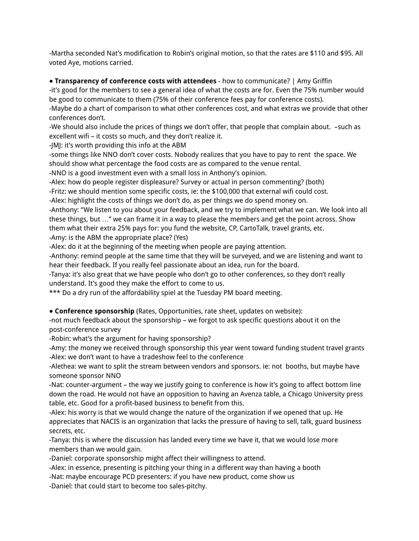-Martha seconded Nat's modification to Robin's original motion, so that the rates are \$110 and \$95. All voted Aye, motions carried.

● **Transparency of conference costs with attendees** - how to communicate? | Amy Griffin

-it's good for the members to see a general idea of what the costs are for. Even the 75% number would be good to communicate to them (75% of their conference fees pay for conference costs).

-Maybe do a chart of comparison to what other conferences cost, and what extras we provide that other conferences don't.

-We should also include the prices of things we don't offer, that people that complain about. –such as excellent wifi – it costs so much, and they don't realize it.

-JMJ: it's worth providing this info at the ABM

-some things like NNO don't cover costs. Nobody realizes that you have to pay to rent the space. We should show what percentage the food costs are as compared to the venue rental.

-NNO is a good investment even with a small loss in Anthony's opinion.

-Alex: how do people register displeasure? Survey or actual in person commenting? (both)

-Fritz: we should mention some specific costs, ie: the \$100,000 that external wifi could cost.

-Alex: highlight the costs of things we don't do, as per things we do spend money on.

-Anthony: "We listen to you about your feedback, and we try to implement what we can. We look into all these things, but …" we can frame it in a way to please the members and get the point across. Show them what their extra 25% pays for: you fund the website, CP, CartoTalk, travel grants, etc. -Amy: is the ABM the appropriate place? (Yes)

-Alex: do it at the beginning of the meeting when people are paying attention.

-Anthony: remind people at the same time that they will be surveyed, and we are listening and want to hear their feedback. If you really feel passionate about an idea, run for the board.

-Tanya: it's also great that we have people who don't go to other conferences, so they don't really understand. It's good they make the effort to come to us.

\*\*\* Do a dry run of the affordability spiel at the Tuesday PM board meeting.

● **Conference sponsorship** (Rates, Opportunities, rate sheet, updates on website):

-not much feedback about the sponsorship – we forgot to ask specific questions about it on the post-conference survey

-Robin: what's the argument for having sponsorship?

-Amy: the money we received through sponsorship this year went toward funding student travel grants -Alex: we don't want to have a tradeshow feel to the conference

-Alethea: we want to split the stream between vendors and sponsors. ie: not booths, but maybe have someone sponsor NNO

-Nat: counter-argument – the way we justify going to conference is how it's going to affect bottom line down the road. He would not have an opposition to having an Avenza table, a Chicago University press table, etc. Good for a profit-based business to benefit from this.

-Alex: his worry is that we would change the nature of the organization if we opened that up. He appreciates that NACIS is an organization that lacks the pressure of having to sell, talk, guard business secrets, etc.

-Tanya: this is where the discussion has landed every time we have it, that we would lose more members than we would gain.

-Daniel: corporate sponsorship might affect their willingness to attend.

-Alex: in essence, presenting is pitching your thing in a different way than having a booth

-Nat: maybe encourage PCD presenters: if you have new product, come show us

-Daniel: that could start to become too sales-pitchy.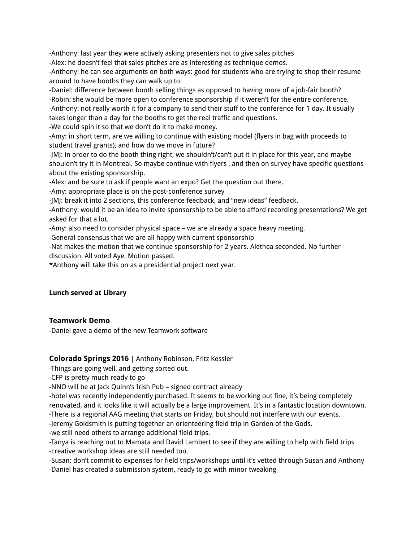-Anthony: last year they were actively asking presenters not to give sales pitches

-Alex: he doesn't feel that sales pitches are as interesting as technique demos.

-Anthony: he can see arguments on both ways: good for students who are trying to shop their resume around to have booths they can walk up to.

-Daniel: difference between booth selling things as opposed to having more of a job-fair booth? -Robin: she would be more open to conference sponsorship if it weren't for the entire conference. -Anthony: not really worth it for a company to send their stuff to the conference for 1 day. It usually takes longer than a day for the booths to get the real traffic and questions.

-We could spin it so that we don't do it to make money.

-Amy: in short term, are we willing to continue with existing model (flyers in bag with proceeds to student travel grants), and how do we move in future?

-JMJ: in order to do the booth thing right, we shouldn't/can't put it in place for this year, and maybe shouldn't try it in Montreal. So maybe continue with flyers , and then on survey have specific questions about the existing sponsorship.

-Alex: and be sure to ask if people want an expo? Get the question out there.

-Amy: appropriate place is on the post-conference survey

-JMJ: break it into 2 sections, this conference feedback, and "new ideas" feedback.

-Anthony: would it be an idea to invite sponsorship to be able to afford recording presentations? We get asked for that a lot.

-Amy: also need to consider physical space – we are already a space heavy meeting.

-General consensus that we are all happy with current sponsorship

-Nat makes the motion that we continue sponsorship for 2 years. Alethea seconded. No further discussion. All voted Aye. Motion passed.

\*Anthony will take this on as a presidential project next year.

# **Lunch served at Library**

# **Teamwork Demo**

-Daniel gave a demo of the new Teamwork software

# **Colorado Springs 2016** | Anthony Robinson, Fritz Kessler

-Things are going well, and getting sorted out.

-CFP is pretty much ready to go

-NNO will be at Jack Quinn's Irish Pub – signed contract already

-hotel was recently independently purchased. It seems to be working out fine, it's being completely renovated, and it looks like it will actually be a large improvement. It's in a fantastic location downtown. -There is a regional AAG meeting that starts on Friday, but should not interfere with our events.

-Jeremy Goldsmith is putting together an orienteering field trip in Garden of the Gods.

-we still need others to arrange additional field trips.

-Tanya is reaching out to Mamata and David Lambert to see if they are willing to help with field trips -creative workshop ideas are still needed too.

-Susan: don't commit to expenses for field trips/workshops until it's vetted through Susan and Anthony

-Daniel has created a submission system, ready to go with minor tweaking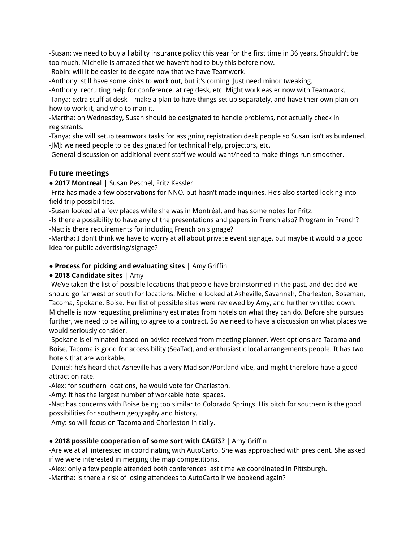-Susan: we need to buy a liability insurance policy this year for the first time in 36 years. Shouldn't be too much. Michelle is amazed that we haven't had to buy this before now.

-Robin: will it be easier to delegate now that we have Teamwork.

-Anthony: still have some kinks to work out, but it's coming. Just need minor tweaking.

-Anthony: recruiting help for conference, at reg desk, etc. Might work easier now with Teamwork.

-Tanya: extra stuff at desk – make a plan to have things set up separately, and have their own plan on how to work it, and who to man it.

-Martha: on Wednesday, Susan should be designated to handle problems, not actually check in registrants.

-Tanya: she will setup teamwork tasks for assigning registration desk people so Susan isn't as burdened. -JMJ: we need people to be designated for technical help, projectors, etc.

-General discussion on additional event staff we would want/need to make things run smoother.

# **Future meetings**

● **2017 Montreal** | Susan Peschel, Fritz Kessler

-Fritz has made a few observations for NNO, but hasn't made inquiries. He's also started looking into field trip possibilities.

-Susan looked at a few places while she was in Montréal, and has some notes for Fritz.

-Is there a possibility to have any of the presentations and papers in French also? Program in French? -Nat: is there requirements for including French on signage?

-Martha: I don't think we have to worry at all about private event signage, but maybe it would b a good idea for public advertising/signage?

### ● **Process for picking and evaluating sites** | Amy Griffin

# **● 2018 Candidate sites** | Amy

-We've taken the list of possible locations that people have brainstormed in the past, and decided we should go far west or south for locations. Michelle looked at Asheville, Savannah, Charleston, Boseman, Tacoma, Spokane, Boise. Her list of possible sites were reviewed by Amy, and further whittled down. Michelle is now requesting preliminary estimates from hotels on what they can do. Before she pursues further, we need to be willing to agree to a contract. So we need to have a discussion on what places we would seriously consider.

-Spokane is eliminated based on advice received from meeting planner. West options are Tacoma and Boise. Tacoma is good for accessibility (SeaTac), and enthusiastic local arrangements people. It has two hotels that are workable.

-Daniel: he's heard that Asheville has a very Madison/Portland vibe, and might therefore have a good attraction rate.

-Alex: for southern locations, he would vote for Charleston.

-Amy: it has the largest number of workable hotel spaces.

-Nat: has concerns with Boise being too similar to Colorado Springs. His pitch for southern is the good possibilities for southern geography and history.

-Amy: so will focus on Tacoma and Charleston initially.

# **● 2018 possible cooperation of some sort with CAGIS?** | Amy Griffin

-Are we at all interested in coordinating with AutoCarto. She was approached with president. She asked if we were interested in merging the map competitions.

-Alex: only a few people attended both conferences last time we coordinated in Pittsburgh.

-Martha: is there a risk of losing attendees to AutoCarto if we bookend again?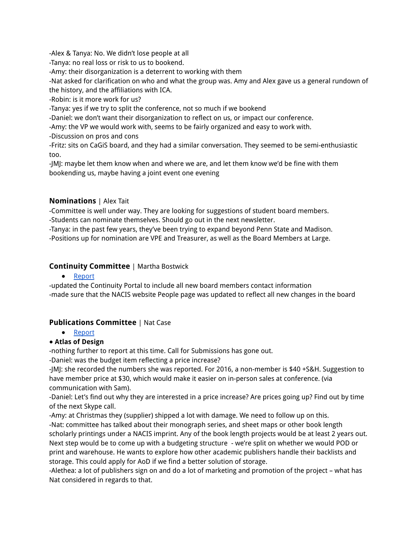-Alex & Tanya: No. We didn't lose people at all

-Tanya: no real loss or risk to us to bookend.

-Amy: their disorganization is a deterrent to working with them

-Nat asked for clarification on who and what the group was. Amy and Alex gave us a general rundown of the history, and the affiliations with ICA.

-Robin: is it more work for us?

-Tanya: yes if we try to split the conference, not so much if we bookend

-Daniel: we don't want their disorganization to reflect on us, or impact our conference.

-Amy: the VP we would work with, seems to be fairly organized and easy to work with.

-Discussion on pros and cons

-Fritz: sits on CaGiS board, and they had a similar conversation. They seemed to be semi-enthusiastic too.

-JMJ: maybe let them know when and where we are, and let them know we'd be fine with them bookending us, maybe having a joint event one evening

# **Nominations** | Alex Tait

-Committee is well under way. They are looking for suggestions of student board members.

-Students can nominate themselves. Should go out in the next newsletter.

-Tanya: in the past few years, they've been trying to expand beyond Penn State and Madison.

-Positions up for nomination are VPE and Treasurer, as well as the Board Members at Large.

# **Continuity Committee** | Martha Bostwick

● Report

-updated the Continuity Portal to include all new board members contact information -made sure that the NACIS website People page was updated to reflect all new changes in the board

# **Publications Committee** | Nat Case

● Report

# **● Atlas of Design**

-nothing further to report at this time. Call for Submissions has gone out.

-Daniel: was the budget item reflecting a price increase?

-JMJ: she recorded the numbers she was reported. For 2016, a non-member is \$40 +S&H. Suggestion to have member price at \$30, which would make it easier on in-person sales at conference. (via communication with Sam).

-Daniel: Let's find out why they are interested in a price increase? Are prices going up? Find out by time of the next Skype call.

-Amy: at Christmas they (supplier) shipped a lot with damage. We need to follow up on this. -Nat: committee has talked about their monograph series, and sheet maps or other book length scholarly printings under a NACIS imprint. Any of the book length projects would be at least 2 years out. Next step would be to come up with a budgeting structure - we're split on whether we would POD or print and warehouse. He wants to explore how other academic publishers handle their backlists and storage. This could apply for AoD if we find a better solution of storage.

-Alethea: a lot of publishers sign on and do a lot of marketing and promotion of the project – what has Nat considered in regards to that.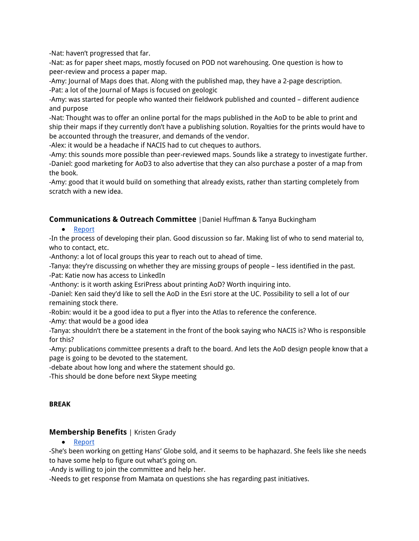-Nat: haven't progressed that far.

-Nat: as for paper sheet maps, mostly focused on POD not warehousing. One question is how to peer-review and process a paper map.

-Amy: Journal of Maps does that. Along with the published map, they have a 2-page description. -Pat: a lot of the Journal of Maps is focused on geologic

-Amy: was started for people who wanted their fieldwork published and counted – different audience and purpose

-Nat: Thought was to offer an online portal for the maps published in the AoD to be able to print and ship their maps if they currently don't have a publishing solution. Royalties for the prints would have to be accounted through the treasurer, and demands of the vendor.

-Alex: it would be a headache if NACIS had to cut cheques to authors.

-Amy: this sounds more possible than peer-reviewed maps. Sounds like a strategy to investigate further. -Daniel: good marketing for AoD3 to also advertise that they can also purchase a poster of a map from the book.

-Amy: good that it would build on something that already exists, rather than starting completely from scratch with a new idea.

# **Communications & Outreach Committee** |Daniel Huffman & Tanya Buckingham

● Report

-In the process of developing their plan. Good discussion so far. Making list of who to send material to, who to contact, etc.

-Anthony: a lot of local groups this year to reach out to ahead of time.

-Tanya: they're discussing on whether they are missing groups of people – less identified in the past. -Pat: Katie now has access to LinkedIn

-Anthony: is it worth asking EsriPress about printing AoD? Worth inquiring into.

-Daniel: Ken said they'd like to sell the AoD in the Esri store at the UC. Possibility to sell a lot of our remaining stock there.

-Robin: would it be a good idea to put a flyer into the Atlas to reference the conference.

-Amy: that would be a good idea

-Tanya: shouldn't there be a statement in the front of the book saying who NACIS is? Who is responsible for this?

-Amy: publications committee presents a draft to the board. And lets the AoD design people know that a page is going to be devoted to the statement.

-debate about how long and where the statement should go.

-This should be done before next Skype meeting

# **BREAK**

# **Membership Benefits** | Kristen Grady

# ● Report

-She's been working on getting Hans' Globe sold, and it seems to be haphazard. She feels like she needs to have some help to figure out what's going on.

-Andy is willing to join the committee and help her.

-Needs to get response from Mamata on questions she has regarding past initiatives.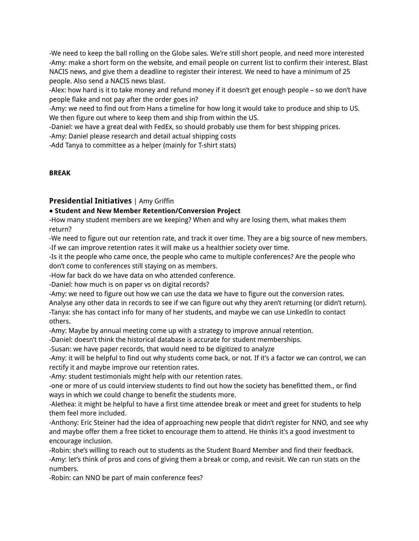-We need to keep the ball rolling on the Globe sales. We're still short people, and need more interested -Amy: make a short form on the website, and email people on current list to confirm their interest. Blast NACIS news, and give them a deadline to register their interest. We need to have a minimum of 25 people. Also send a NACIS news blast.

-Alex: how hard is it to take money and refund money if it doesn't get enough people – so we don't have people flake and not pay after the order goes in?

-Amy: we need to find out from Hans a timeline for how long it would take to produce and ship to US. We then figure out where to keep them and ship from within the US.

-Daniel: we have a great deal with FedEx, so should probably use them for best shipping prices.

-Amy: Daniel please research and detail actual shipping costs

-Add Tanya to committee as a helper (mainly for T-shirt stats)

### **BREAK**

# **Presidential Initiatives** | Amy Griffin

# **● Student and New Member Retention/Conversion Project**

-How many student members are we keeping? When and why are losing them, what makes them return?

-We need to figure out our retention rate, and track it over time. They are a big source of new members. -If we can improve retention rates it will make us a healthier society over time.

-Is it the people who came once, the people who came to multiple conferences? Are the people who don't come to conferences still staying on as members.

-How far back do we have data on who attended conference.

-Daniel: how much is on paper vs on digital records?

-Amy: we need to figure out how we can use the data we have to figure out the conversion rates.

Analyse any other data in records to see if we can figure out why they aren't returning (or didn't return). -Tanya: she has contact info for many of her students, and maybe we can use LinkedIn to contact others.

-Amy: Maybe by annual meeting come up with a strategy to improve annual retention.

-Daniel: doesn't think the historical database is accurate for student memberships.

-Susan: we have paper records, that would need to be digitized to analyze

-Amy: it will be helpful to find out why students come back, or not. If it's a factor we can control, we can rectify it and maybe improve our retention rates.

-Amy: student testimonials might help with our retention rates.

-one or more of us could interview students to find out how the society has benefitted them., or find ways in which we could change to benefit the students more.

-Alethea: it might be helpful to have a first time attendee break or meet and greet for students to help them feel more included.

-Anthony: Eric Steiner had the idea of approaching new people that didn't register for NNO, and see why and maybe offer them a free ticket to encourage them to attend. He thinks it's a good investment to encourage inclusion.

-Robin: she's willing to reach out to students as the Student Board Member and find their feedback. -Amy: let's think of pros and cons of giving them a break or comp, and revisit. We can run stats on the numbers.

-Robin: can NNO be part of main conference fees?